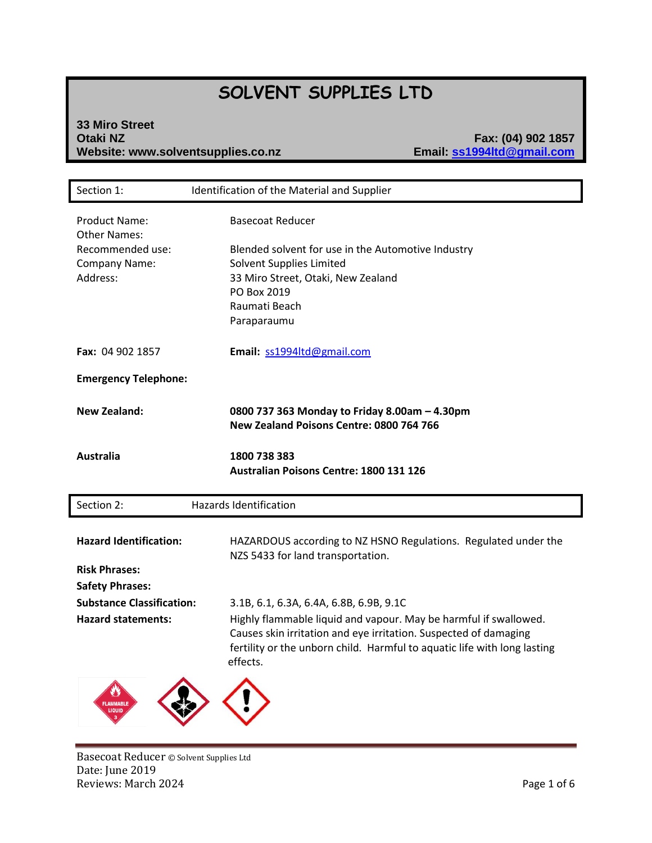# **SOLVENT SUPPLIES LTD**

# **33 Miro Street Website: www.solventsupplies.co.nz**

**Otaki NZ Fax: (04) 902 1857**

| Section 1:                                                                                   | Identification of the Material and Supplier                                                                                                                                                                                                                             |
|----------------------------------------------------------------------------------------------|-------------------------------------------------------------------------------------------------------------------------------------------------------------------------------------------------------------------------------------------------------------------------|
| <b>Product Name:</b><br><b>Other Names:</b><br>Recommended use:<br>Company Name:<br>Address: | <b>Basecoat Reducer</b><br>Blended solvent for use in the Automotive Industry<br>Solvent Supplies Limited<br>33 Miro Street, Otaki, New Zealand<br>PO Box 2019<br>Raumati Beach<br>Paraparaumu                                                                          |
| <b>Fax: 04 902 1857</b>                                                                      | Email: ss1994ltd@gmail.com                                                                                                                                                                                                                                              |
| <b>Emergency Telephone:</b>                                                                  |                                                                                                                                                                                                                                                                         |
| <b>New Zealand:</b>                                                                          | 0800 737 363 Monday to Friday 8.00am - 4.30pm<br>New Zealand Poisons Centre: 0800 764 766                                                                                                                                                                               |
| <b>Australia</b>                                                                             | 1800 738 383<br>Australian Poisons Centre: 1800 131 126                                                                                                                                                                                                                 |
| Section 2:                                                                                   | <b>Hazards Identification</b>                                                                                                                                                                                                                                           |
| <b>Hazard Identification:</b><br><b>Risk Phrases:</b><br><b>Safety Phrases:</b>              | HAZARDOUS according to NZ HSNO Regulations. Regulated under the<br>NZS 5433 for land transportation.                                                                                                                                                                    |
| <b>Substance Classification:</b><br><b>Hazard statements:</b>                                | 3.1B, 6.1, 6.3A, 6.4A, 6.8B, 6.9B, 9.1C<br>Highly flammable liquid and vapour. May be harmful if swallowed.<br>Causes skin irritation and eye irritation. Suspected of damaging<br>fertility or the unborn child. Harmful to aquatic life with long lasting<br>effects. |
| LIQUID                                                                                       |                                                                                                                                                                                                                                                                         |

Basecoat Reducer © Solvent Supplies Ltd Date: June 2019 Reviews: March 2024 **Page 1 of 6**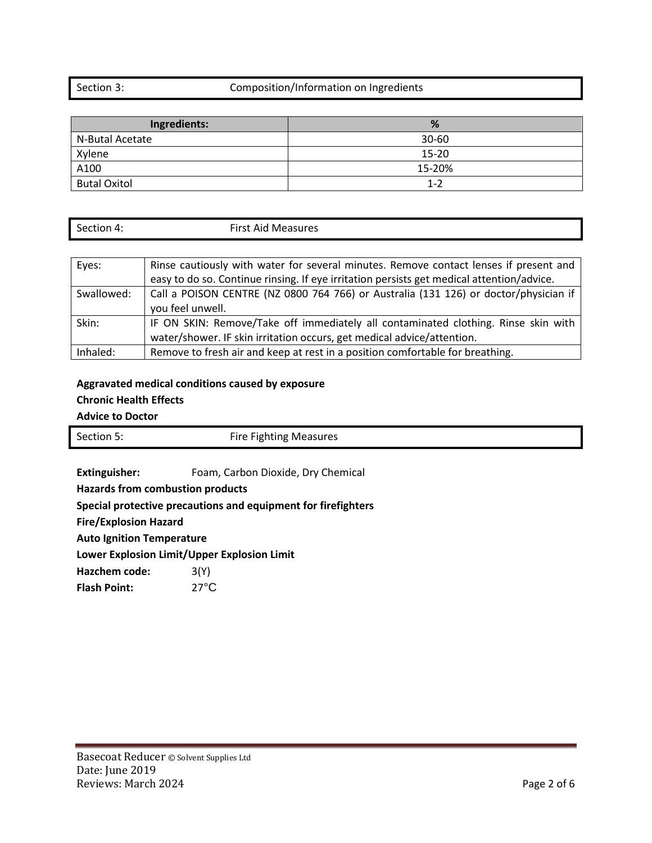### Section 3: Composition/Information on Ingredients

| Ingredients:        | %         |
|---------------------|-----------|
| N-Butal Acetate     | $30 - 60$ |
| Xylene              | 15-20     |
| A100                | 15-20%    |
| <b>Butal Oxitol</b> | $1 - 2$   |

| Section 4: | <b>First Aid Measures</b> |
|------------|---------------------------|
|            |                           |

| Eyes:      | Rinse cautiously with water for several minutes. Remove contact lenses if present and     |
|------------|-------------------------------------------------------------------------------------------|
|            | easy to do so. Continue rinsing. If eye irritation persists get medical attention/advice. |
| Swallowed: | Call a POISON CENTRE (NZ 0800 764 766) or Australia (131 126) or doctor/physician if      |
|            | you feel unwell.                                                                          |
| Skin:      | IF ON SKIN: Remove/Take off immediately all contaminated clothing. Rinse skin with        |
|            | water/shower. IF skin irritation occurs, get medical advice/attention.                    |
| Inhaled:   | Remove to fresh air and keep at rest in a position comfortable for breathing.             |

### **Aggravated medical conditions caused by exposure Chronic Health Effects**

## **Advice to Doctor**

| Section 5: | <b>Fire Fighting Measures</b> |
|------------|-------------------------------|

**Extinguisher:** Foam, Carbon Dioxide, Dry Chemical

**Hazards from combustion products**

**Special protective precautions and equipment for firefighters**

**Fire/Explosion Hazard**

**Auto Ignition Temperature**

**Lower Explosion Limit/Upper Explosion Limit**

Hazchem code: 3(Y)

Flash Point: 27°C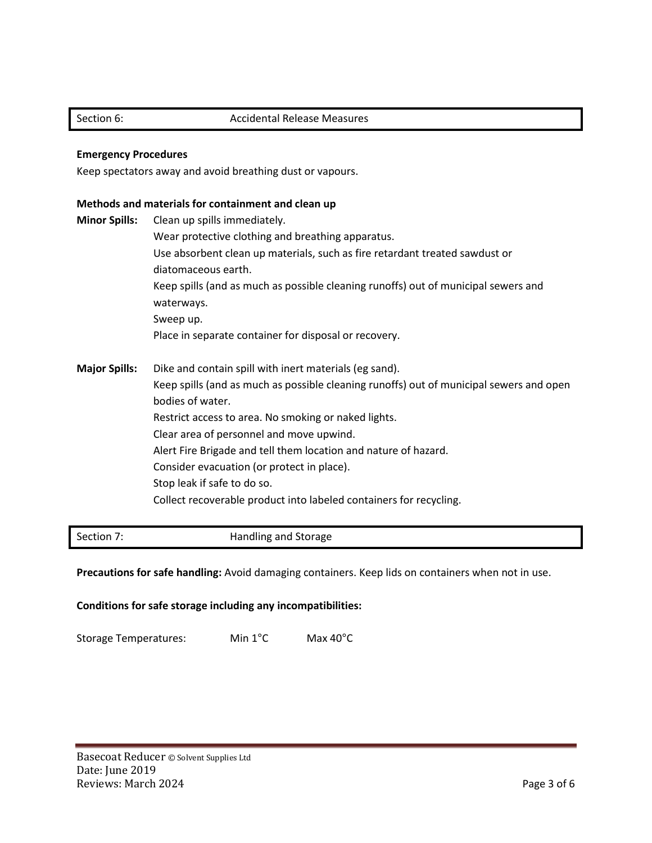#### **Emergency Procedures**

Keep spectators away and avoid breathing dust or vapours.

#### **Methods and materials for containment and clean up**

**Minor Spills:** Clean up spills immediately. Wear protective clothing and breathing apparatus. Use absorbent clean up materials, such as fire retardant treated sawdust or diatomaceous earth. Keep spills (and as much as possible cleaning runoffs) out of municipal sewers and waterways. Sweep up. Place in separate container for disposal or recovery. **Major Spills:** Dike and contain spill with inert materials (eg sand). Keep spills (and as much as possible cleaning runoffs) out of municipal sewers and open bodies of water. Restrict access to area. No smoking or naked lights. Clear area of personnel and move upwind. Alert Fire Brigade and tell them location and nature of hazard. Consider evacuation (or protect in place). Stop leak if safe to do so. Collect recoverable product into labeled containers for recycling.

Section 7: Section 7: Section 7: Section 7: Section 7: Section 3:  $\blacksquare$ 

Precautions for safe handling: Avoid damaging containers. Keep lids on containers when not in use.

**Conditions for safe storage including any incompatibilities:**

Storage Temperatures: Min 1°C Max 40°C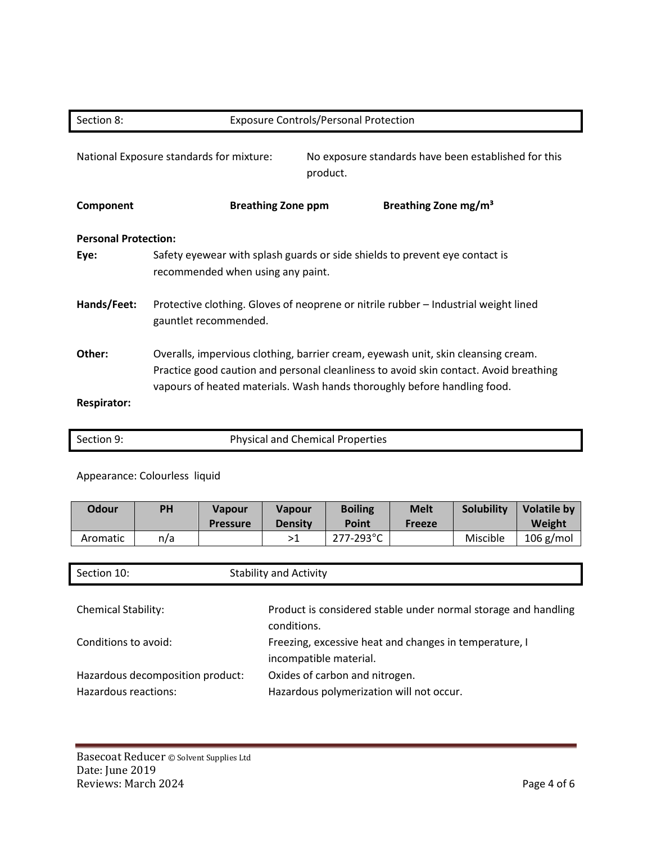| Section 8:                  | <b>Exposure Controls/Personal Protection</b>                                                                                                                                                                                                           |  |  |
|-----------------------------|--------------------------------------------------------------------------------------------------------------------------------------------------------------------------------------------------------------------------------------------------------|--|--|
|                             | National Exposure standards for mixture:<br>No exposure standards have been established for this<br>product.                                                                                                                                           |  |  |
| Component                   | Breathing Zone mg/m <sup>3</sup><br><b>Breathing Zone ppm</b>                                                                                                                                                                                          |  |  |
| <b>Personal Protection:</b> |                                                                                                                                                                                                                                                        |  |  |
| Eye:                        | Safety eyewear with splash guards or side shields to prevent eye contact is<br>recommended when using any paint.                                                                                                                                       |  |  |
| Hands/Feet:                 | Protective clothing. Gloves of neoprene or nitrile rubber – Industrial weight lined<br>gauntlet recommended.                                                                                                                                           |  |  |
| Other:                      | Overalls, impervious clothing, barrier cream, eyewash unit, skin cleansing cream.<br>Practice good caution and personal cleanliness to avoid skin contact. Avoid breathing<br>vapours of heated materials. Wash hands thoroughly before handling food. |  |  |
| <b>Respirator:</b>          |                                                                                                                                                                                                                                                        |  |  |

## Appearance: Colourless liquid

| Odour    | ΡH  | <b>Vapour</b><br><b>Pressure</b> | <b>Vapour</b><br><b>Density</b> | <b>Boiling</b><br>Point | <b>Melt</b><br><b>Freeze</b> | <b>Solubility</b> | <b>Volatile by</b><br>Weight |
|----------|-----|----------------------------------|---------------------------------|-------------------------|------------------------------|-------------------|------------------------------|
| Aromatic | n/a |                                  | >1                              | 277-293°C               |                              | Miscible          | $106$ g/mol                  |

| Section 10:                                              | <b>Stability and Activity</b>                                                    |
|----------------------------------------------------------|----------------------------------------------------------------------------------|
| <b>Chemical Stability:</b>                               | Product is considered stable under normal storage and handling<br>conditions.    |
| Conditions to avoid:                                     | Freezing, excessive heat and changes in temperature, I<br>incompatible material. |
| Hazardous decomposition product:<br>Hazardous reactions: | Oxides of carbon and nitrogen.<br>Hazardous polymerization will not occur.       |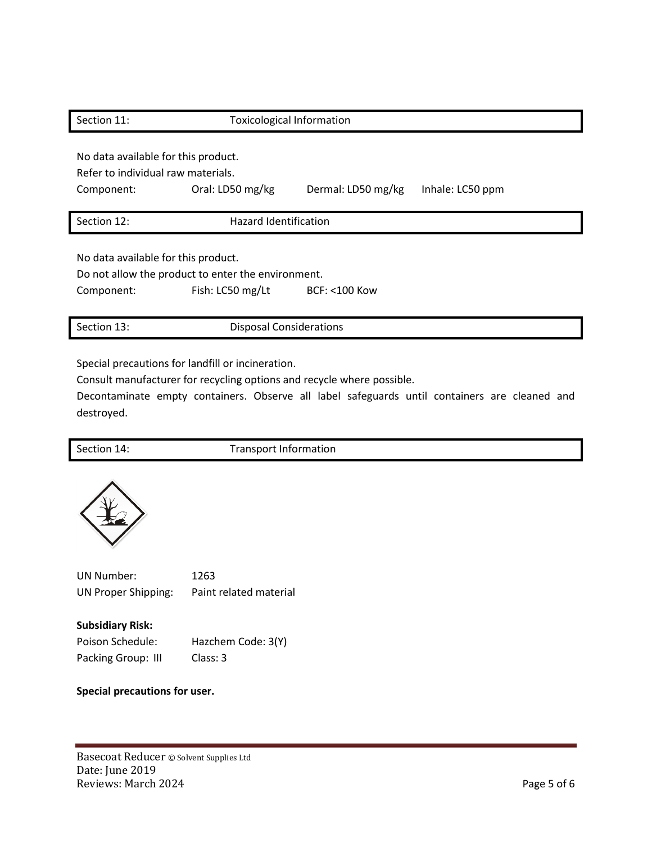| Section 11:                         | <b>Toxicological Information</b>                   |                         |                  |  |  |
|-------------------------------------|----------------------------------------------------|-------------------------|------------------|--|--|
| No data available for this product. |                                                    |                         |                  |  |  |
| Refer to individual raw materials.  |                                                    |                         |                  |  |  |
| Component:                          | Oral: LD50 mg/kg                                   | Dermal: LD50 mg/kg      | Inhale: LC50 ppm |  |  |
|                                     |                                                    |                         |                  |  |  |
| Section 12:                         | <b>Hazard Identification</b>                       |                         |                  |  |  |
|                                     |                                                    |                         |                  |  |  |
| No data available for this product. |                                                    |                         |                  |  |  |
|                                     |                                                    |                         |                  |  |  |
|                                     | Do not allow the product to enter the environment. |                         |                  |  |  |
| Component:                          | Fish: LC50 mg/Lt                                   | <b>BCF: &lt;100 Kow</b> |                  |  |  |
|                                     |                                                    |                         |                  |  |  |

Special precautions for landfill or incineration.

Consult manufacturer for recycling options and recycle where possible.

Decontaminate empty containers. Observe all label safeguards until containers are cleaned and destroyed.

Section 14: Transport Information



UN Number: 1263 UN Proper Shipping: Paint related material

**Subsidiary Risk:**

Poison Schedule: Hazchem Code: 3(Y) Packing Group: III Class: 3

**Special precautions for user.**